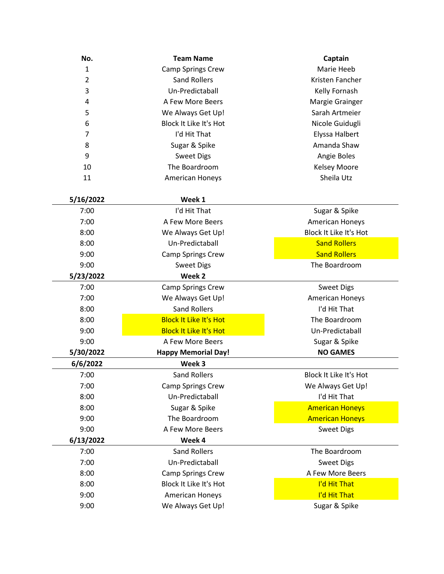| No.       | <b>Team Name</b>              | Captain                |
|-----------|-------------------------------|------------------------|
| 1         | <b>Camp Springs Crew</b>      | Marie Heeb             |
| 2         | <b>Sand Rollers</b>           | Kristen Fancher        |
| 3         | Un-Predictaball               | Kelly Fornash          |
| 4         | A Few More Beers              | Margie Grainger        |
| 5         | We Always Get Up!             | Sarah Artmeier         |
| 6         | Block It Like It's Hot        | Nicole Guidugli        |
| 7         | I'd Hit That                  | Elyssa Halbert         |
| 8         | Sugar & Spike                 | Amanda Shaw            |
| 9         | <b>Sweet Digs</b>             | Angie Boles            |
| 10        | The Boardroom                 | <b>Kelsey Moore</b>    |
| 11        | American Honeys               | Sheila Utz             |
| 5/16/2022 | Week 1                        |                        |
| 7:00      | I'd Hit That                  | Sugar & Spike          |
| 7:00      | A Few More Beers              | American Honeys        |
| 8:00      | We Always Get Up!             | Block It Like It's Hot |
| 8:00      | Un-Predictaball               | <b>Sand Rollers</b>    |
| 9:00      | <b>Camp Springs Crew</b>      | <b>Sand Rollers</b>    |
| 9:00      | <b>Sweet Digs</b>             | The Boardroom          |
| 5/23/2022 | Week 2                        |                        |
| 7:00      | <b>Camp Springs Crew</b>      | <b>Sweet Digs</b>      |
| 7:00      | We Always Get Up!             | <b>American Honeys</b> |
| 8:00      | <b>Sand Rollers</b>           | I'd Hit That           |
| 8:00      | <b>Block It Like It's Hot</b> | The Boardroom          |
| 9:00      | <b>Block It Like It's Hot</b> | Un-Predictaball        |
| 9:00      | A Few More Beers              | Sugar & Spike          |
| 5/30/2022 | <b>Happy Memorial Day!</b>    | <b>NO GAMES</b>        |
| 6/6/2022  | Week 3                        |                        |
| 7:00      | Sand Rollers                  | Block It Like It's Hot |
| 7:00      | <b>Camp Springs Crew</b>      | We Always Get Up!      |
| 8:00      | Un-Predictaball               | I'd Hit That           |
| 8:00      | Sugar & Spike                 | <b>American Honeys</b> |
| 9:00      | The Boardroom                 | <b>American Honeys</b> |
| 9:00      | A Few More Beers              | <b>Sweet Digs</b>      |
| 6/13/2022 | Week 4                        |                        |
| 7:00      | <b>Sand Rollers</b>           | The Boardroom          |
| 7:00      | Un-Predictaball               | <b>Sweet Digs</b>      |
| 8:00      | <b>Camp Springs Crew</b>      | A Few More Beers       |
| 8:00      | Block It Like It's Hot        | I'd Hit That           |
| 9:00      | <b>American Honeys</b>        | I'd Hit That           |
| 9:00      | We Always Get Up!             | Sugar & Spike          |
|           |                               |                        |